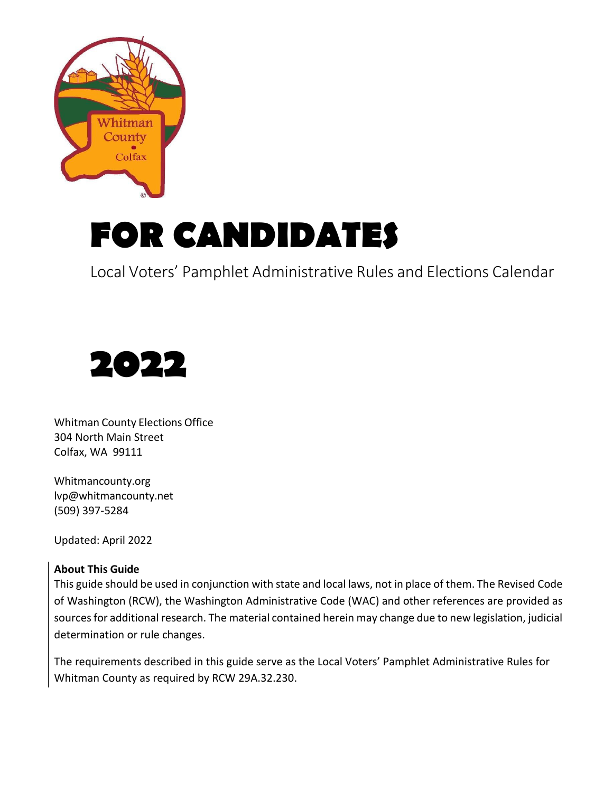

# **FOR CANDIDATES**

Local Voters' Pamphlet Administrative Rules and Elections Calendar



Whitman County Elections Office 304 North Main Street Colfax, WA 99111

Whitmancounty.org [lvp@whitmancounty.net](mailto:lvp@whitmancounty.net) (509) 397-5284

Updated: April 2022

#### **About This Guide**

This guide should be used in conjunction with state and local laws, not in place of them. The Revised Code of Washington (RCW), the Washington Administrative Code (WAC) and other references are provided as sources for additional research. The material contained herein may change due to new legislation, judicial determination or rule changes.

The requirements described in this guide serve as the Local Voters' Pamphlet Administrative Rules for Whitman County as required by RCW 29A.32.230.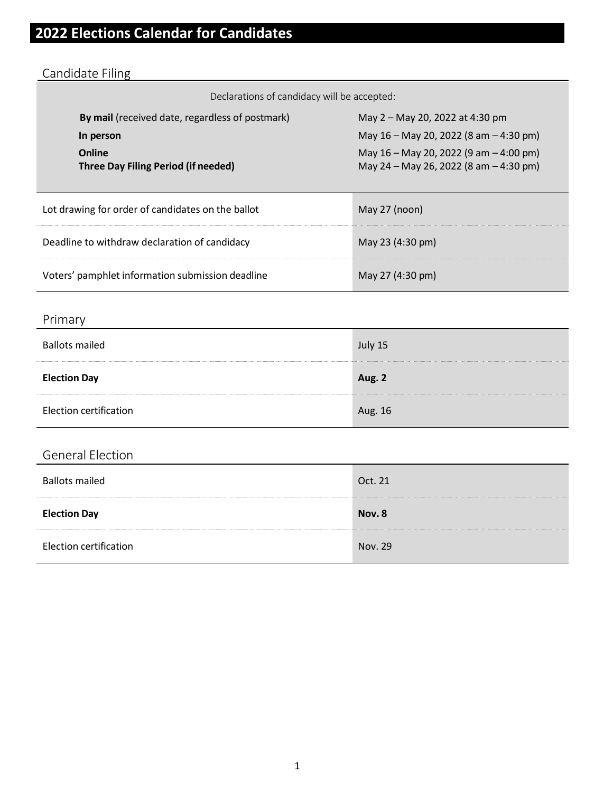# **2022 Elections Calendar for Candidates**

# Candidate Filing

Declarations of candidacy will be accepted:

| <b>By mail</b> (received date, regardless of postmark)<br>In person<br>Online<br>Three Day Filing Period (if needed) | May 2 – May 20, 2022 at 4:30 pm<br>May 16 - May 20, 2022 (8 am - 4:30 pm)<br>May $16 -$ May 20, 2022 (9 am $-$ 4:00 pm)<br>May 24 – May 26, 2022 (8 am – 4:30 pm) |  |
|----------------------------------------------------------------------------------------------------------------------|-------------------------------------------------------------------------------------------------------------------------------------------------------------------|--|
| Lot drawing for order of candidates on the ballot                                                                    | May 27 (noon)                                                                                                                                                     |  |
| Deadline to withdraw declaration of candidacy                                                                        | May 23 (4:30 pm)                                                                                                                                                  |  |
| Voters' pamphlet information submission deadline                                                                     | May 27 (4:30 pm)                                                                                                                                                  |  |

# Primary

| <b>Ballots mailed</b>         | July 15 |
|-------------------------------|---------|
| <b>Election Day</b>           | Aug. 2  |
| <b>Election certification</b> | Aug. 16 |

# General Election

| <b>Ballots mailed</b>         | Oct. 21 |
|-------------------------------|---------|
| <b>Election Day</b>           | Nov. 8  |
| <b>Election certification</b> | Nov. 29 |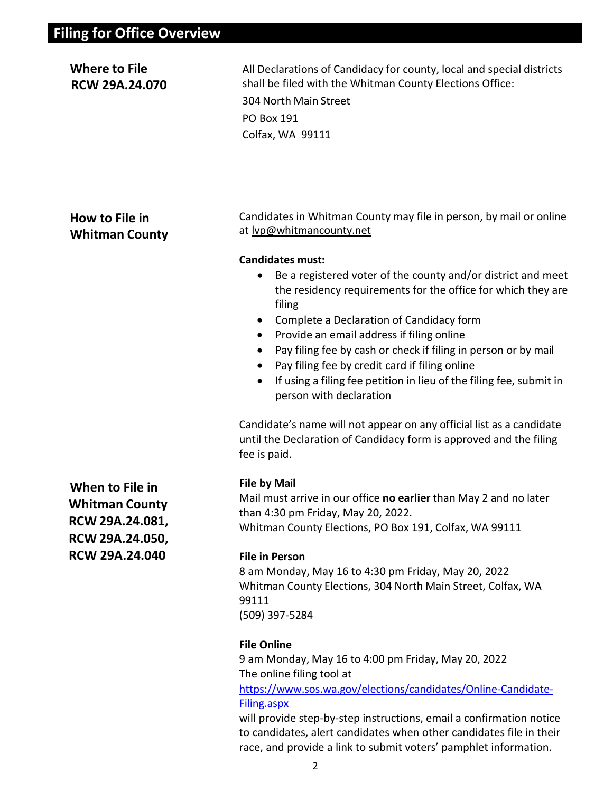| <b>Where to File</b><br><b>RCW 29A.24.070</b>                                                    | All Declarations of Candidacy for county, local and special districts<br>shall be filed with the Whitman County Elections Office:<br>304 North Main Street<br><b>PO Box 191</b><br>Colfax, WA 99111                                                                                                                                                                                                                                                                                                                                                                                                                                                                                                                                                                                     |
|--------------------------------------------------------------------------------------------------|-----------------------------------------------------------------------------------------------------------------------------------------------------------------------------------------------------------------------------------------------------------------------------------------------------------------------------------------------------------------------------------------------------------------------------------------------------------------------------------------------------------------------------------------------------------------------------------------------------------------------------------------------------------------------------------------------------------------------------------------------------------------------------------------|
| How to File in<br><b>Whitman County</b>                                                          | Candidates in Whitman County may file in person, by mail or online<br>at lyp@whitmancounty.net<br><b>Candidates must:</b><br>Be a registered voter of the county and/or district and meet<br>the residency requirements for the office for which they are<br>filing<br>Complete a Declaration of Candidacy form<br>$\bullet$<br>Provide an email address if filing online<br>Pay filing fee by cash or check if filing in person or by mail<br>$\bullet$<br>Pay filing fee by credit card if filing online<br>If using a filing fee petition in lieu of the filing fee, submit in<br>$\bullet$<br>person with declaration<br>Candidate's name will not appear on any official list as a candidate<br>until the Declaration of Candidacy form is approved and the filing<br>fee is paid. |
| When to File in<br><b>Whitman County</b><br>RCW 29A.24.081,<br>RCW 29A.24.050,<br>RCW 29A.24.040 | <b>File by Mail</b><br>Mail must arrive in our office no earlier than May 2 and no later<br>than 4:30 pm Friday, May 20, 2022.<br>Whitman County Elections, PO Box 191, Colfax, WA 99111<br><b>File in Person</b><br>8 am Monday, May 16 to 4:30 pm Friday, May 20, 2022<br>Whitman County Elections, 304 North Main Street, Colfax, WA<br>99111<br>(509) 397-5284<br><b>File Online</b><br>9 am Monday, May 16 to 4:00 pm Friday, May 20, 2022<br>The online filing tool at<br>https://www.sos.wa.gov/elections/candidates/Online-Candidate-<br>Filing.aspx                                                                                                                                                                                                                            |

will provide step-by-step instructions, email a confirmation notice to candidates, alert candidates when other candidates file in their race, and provide a link to submit voters' pamphlet information.

2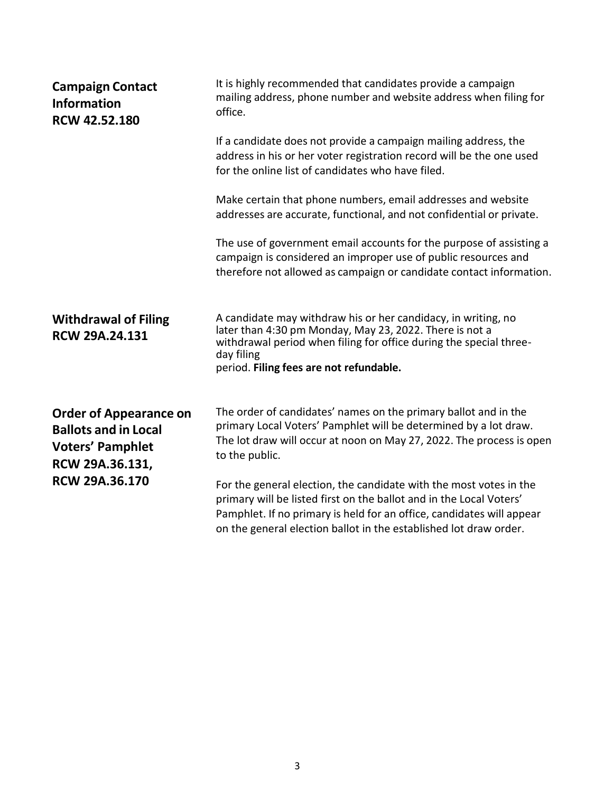| <b>Campaign Contact</b><br><b>Information</b><br><b>RCW 42.52.180</b>                                      | It is highly recommended that candidates provide a campaign<br>mailing address, phone number and website address when filing for<br>office.                                                                                                                                             |
|------------------------------------------------------------------------------------------------------------|-----------------------------------------------------------------------------------------------------------------------------------------------------------------------------------------------------------------------------------------------------------------------------------------|
|                                                                                                            | If a candidate does not provide a campaign mailing address, the<br>address in his or her voter registration record will be the one used<br>for the online list of candidates who have filed.                                                                                            |
|                                                                                                            | Make certain that phone numbers, email addresses and website<br>addresses are accurate, functional, and not confidential or private.                                                                                                                                                    |
|                                                                                                            | The use of government email accounts for the purpose of assisting a<br>campaign is considered an improper use of public resources and<br>therefore not allowed as campaign or candidate contact information.                                                                            |
| <b>Withdrawal of Filing</b><br><b>RCW 29A.24.131</b>                                                       | A candidate may withdraw his or her candidacy, in writing, no<br>later than 4:30 pm Monday, May 23, 2022. There is not a<br>withdrawal period when filing for office during the special three-<br>day filing<br>period. Filing fees are not refundable.                                 |
| <b>Order of Appearance on</b><br><b>Ballots and in Local</b><br><b>Voters' Pamphlet</b><br>RCW 29A.36.131, | The order of candidates' names on the primary ballot and in the<br>primary Local Voters' Pamphlet will be determined by a lot draw.<br>The lot draw will occur at noon on May 27, 2022. The process is open<br>to the public.                                                           |
| <b>RCW 29A.36.170</b>                                                                                      | For the general election, the candidate with the most votes in the<br>primary will be listed first on the ballot and in the Local Voters'<br>Pamphlet. If no primary is held for an office, candidates will appear<br>on the general election ballot in the established lot draw order. |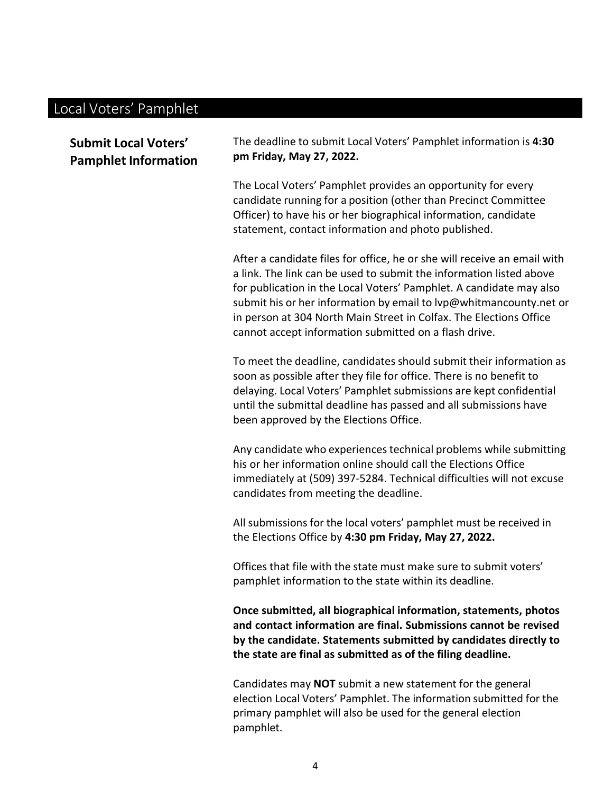# Local Voters' Pamphlet

| <b>Submit Local Voters'</b><br><b>Pamphlet Information</b> | The deadline to submit Local Voters' Pamphlet information is 4:30<br>pm Friday, May 27, 2022.                                                                                                                                                                                                                                                                                                                               |  |
|------------------------------------------------------------|-----------------------------------------------------------------------------------------------------------------------------------------------------------------------------------------------------------------------------------------------------------------------------------------------------------------------------------------------------------------------------------------------------------------------------|--|
|                                                            | The Local Voters' Pamphlet provides an opportunity for every<br>candidate running for a position (other than Precinct Committee<br>Officer) to have his or her biographical information, candidate<br>statement, contact information and photo published.                                                                                                                                                                   |  |
|                                                            | After a candidate files for office, he or she will receive an email with<br>a link. The link can be used to submit the information listed above<br>for publication in the Local Voters' Pamphlet. A candidate may also<br>submit his or her information by email to lyp@whitmancounty.net or<br>in person at 304 North Main Street in Colfax. The Elections Office<br>cannot accept information submitted on a flash drive. |  |
|                                                            | To meet the deadline, candidates should submit their information as<br>soon as possible after they file for office. There is no benefit to<br>delaying. Local Voters' Pamphlet submissions are kept confidential<br>until the submittal deadline has passed and all submissions have<br>been approved by the Elections Office.                                                                                              |  |
|                                                            | Any candidate who experiences technical problems while submitting<br>his or her information online should call the Elections Office<br>immediately at (509) 397-5284. Technical difficulties will not excuse<br>candidates from meeting the deadline.                                                                                                                                                                       |  |
|                                                            | All submissions for the local voters' pamphlet must be received in<br>the Elections Office by 4:30 pm Friday, May 27, 2022.                                                                                                                                                                                                                                                                                                 |  |
|                                                            | Offices that file with the state must make sure to submit voters'<br>pamphlet information to the state within its deadline.                                                                                                                                                                                                                                                                                                 |  |
|                                                            | Once submitted, all biographical information, statements, photos<br>and contact information are final. Submissions cannot be revised<br>by the candidate. Statements submitted by candidates directly to<br>the state are final as submitted as of the filing deadline.                                                                                                                                                     |  |
|                                                            | Candidates may NOT submit a new statement for the general                                                                                                                                                                                                                                                                                                                                                                   |  |

election Local Voters' Pamphlet. The information submitted for the primary pamphlet will also be used for the general election pamphlet.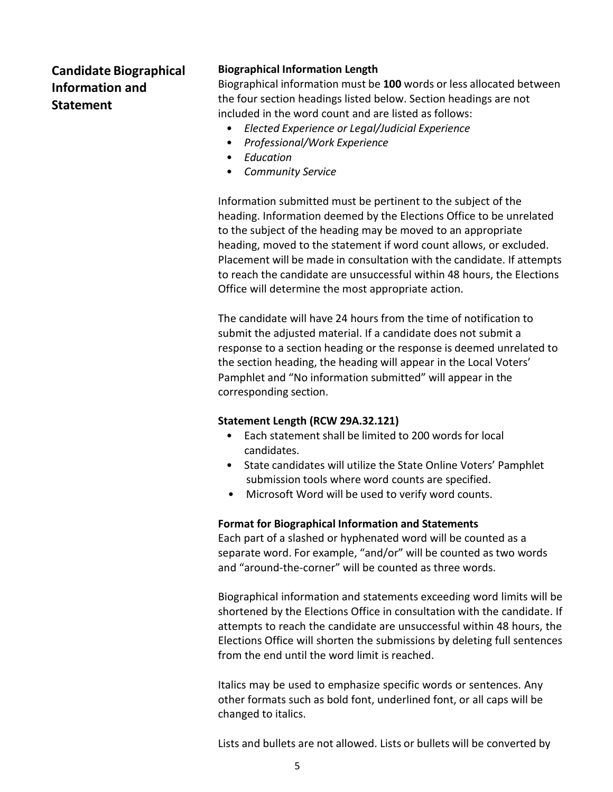## **Candidate Biographical Information and Statement**

#### **Biographical Information Length**

Biographical information must be **100** words or less allocated between the four section headings listed below. Section headings are not included in the word count and are listed as follows:

- *Elected Experience or Legal/Judicial Experience*
- *Professional/Work Experience*
- *Education*
- *Community Service*

Information submitted must be pertinent to the subject of the heading. Information deemed by the Elections Office to be unrelated to the subject of the heading may be moved to an appropriate heading, moved to the statement if word count allows, or excluded. Placement will be made in consultation with the candidate. If attempts to reach the candidate are unsuccessful within 48 hours, the Elections Office will determine the most appropriate action.

The candidate will have 24 hours from the time of notification to submit the adjusted material. If a candidate does not submit a response to a section heading or the response is deemed unrelated to the section heading, the heading will appear in the Local Voters' Pamphlet and "No information submitted" will appear in the corresponding section.

#### **Statement Length (RCW 29A.32.121)**

- Each statement shall be limited to 200 words for local candidates.
- State candidates will utilize the State Online Voters' Pamphlet submission tools where word counts are specified.
- Microsoft Word will be used to verify word counts.

#### **Format for Biographical Information and Statements**

Each part of a slashed or hyphenated word will be counted as a separate word. For example, "and/or" will be counted as two words and "around-the-corner" will be counted as three words.

Biographical information and statements exceeding word limits will be shortened by the Elections Office in consultation with the candidate. If attempts to reach the candidate are unsuccessful within 48 hours, the Elections Office will shorten the submissions by deleting full sentences from the end until the word limit is reached.

Italics may be used to emphasize specific words or sentences. Any other formats such as bold font, underlined font, or all caps will be changed to italics.

Lists and bullets are not allowed. Lists or bullets will be converted by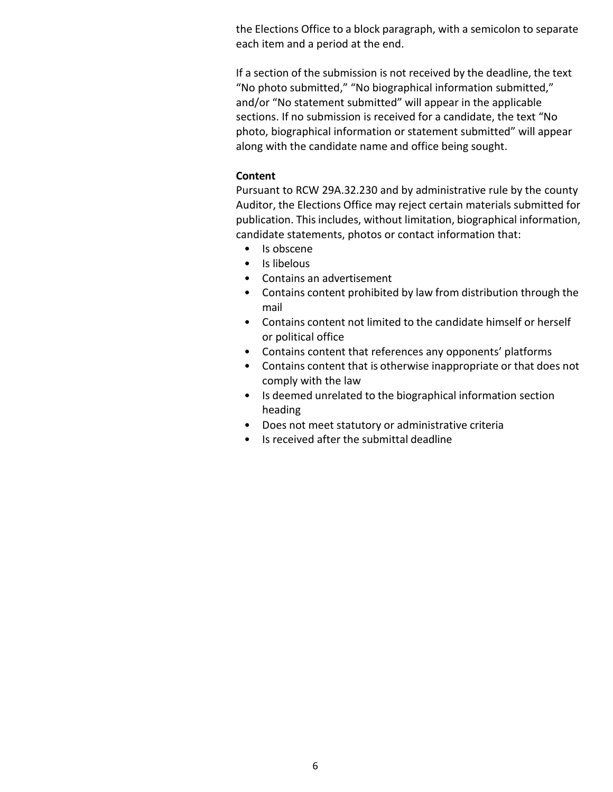the Elections Office to a block paragraph, with a semicolon to separate each item and a period at the end.

If a section of the submission is not received by the deadline, the text "No photo submitted," "No biographical information submitted," and/or "No statement submitted" will appear in the applicable sections. If no submission is received for a candidate, the text "No photo, biographical information or statement submitted" will appear along with the candidate name and office being sought.

#### **Content**

Pursuant to RCW 29A.32.230 and by administrative rule by the county Auditor, the Elections Office may reject certain materials submitted for publication. This includes, without limitation, biographical information, candidate statements, photos or contact information that:

- Is obscene
- Is libelous
- Contains an advertisement
- Contains content prohibited by law from distribution through the mail
- Contains content not limited to the candidate himself or herself or political office
- Contains content that references any opponents' platforms
- Contains content that is otherwise inappropriate or that does not comply with the law
- Is deemed unrelated to the biographical information section heading
- Does not meet statutory or administrative criteria
- Is received after the submittal deadline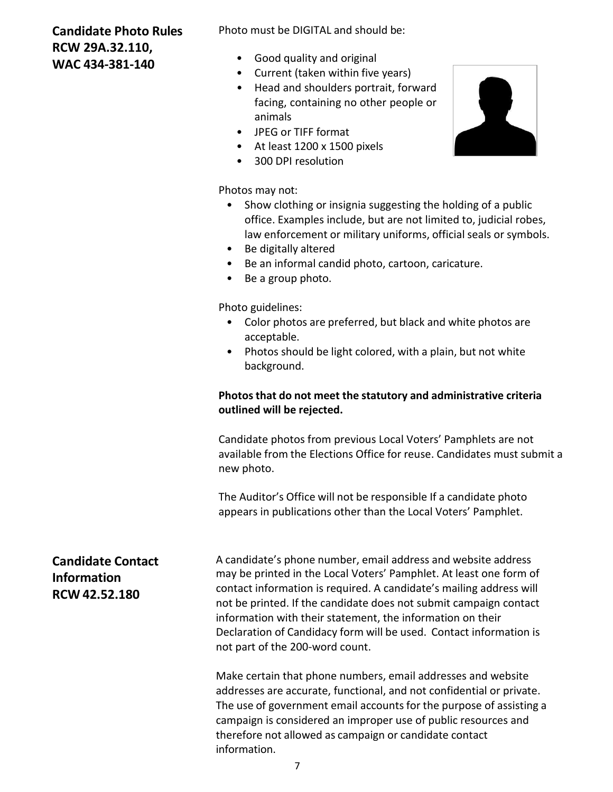### **Candidate Photo Rules RCW 29A.32.110, WAC 434-381-140**

Photo must be DIGITAL and should be:

- Good quality and original
- Current (taken within five years)
- Head and shoulders portrait, forward facing, containing no other people or animals
- JPEG or TIFF format
- At least 1200 x 1500 pixels
- 300 DPI resolution

Photos may not:

- Show clothing or insignia suggesting the holding of a public office. Examples include, but are not limited to, judicial robes, law enforcement or military uniforms, official seals or symbols.
- Be digitally altered
- Be an informal candid photo, cartoon, caricature.
- Be a group photo.

Photo guidelines:

- Color photos are preferred, but black and white photos are acceptable.
- Photos should be light colored, with a plain, but not white background.

#### **Photos that do not meet the statutory and administrative criteria outlined will be rejected.**

Candidate photos from previous Local Voters' Pamphlets are not available from the Elections Office for reuse. Candidates must submit a new photo.

The Auditor's Office will not be responsible If a candidate photo appears in publications other than the Local Voters' Pamphlet.

## **Candidate Contact Information RCW 42.52.180**

A candidate's phone number, email address and website address may be printed in the Local Voters' Pamphlet. At least one form of contact information is required. A candidate's mailing address will not be printed. If the candidate does not submit campaign contact information with their statement, the information on their Declaration of Candidacy form will be used. Contact information is not part of the 200-word count.

Make certain that phone numbers, email addresses and website addresses are accurate, functional, and not confidential or private. The use of government email accounts for the purpose of assisting a campaign is considered an improper use of public resources and therefore not allowed as campaign or candidate contact information.

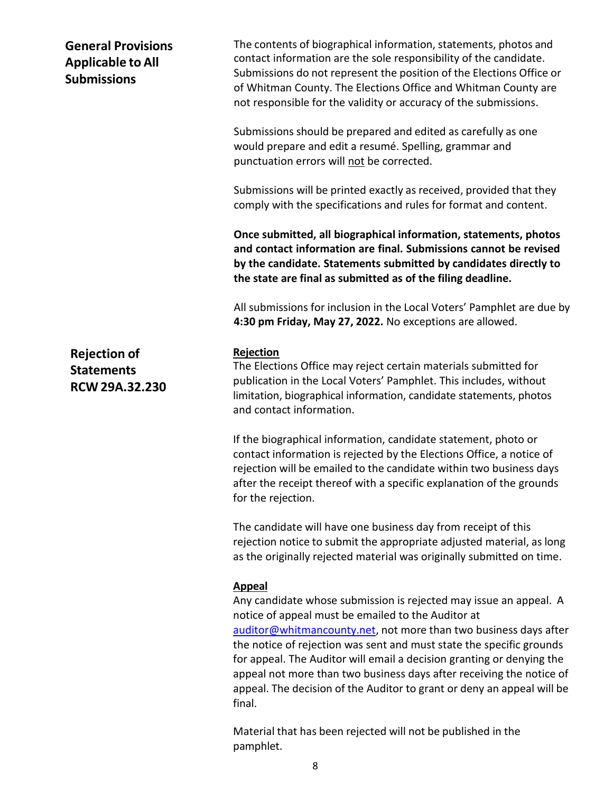### **General Provisions Applicable to All Submissions**

**Rejection of Statements RCW 29A.32.230** The contents of biographical information, statements, photos and contact information are the sole responsibility of the candidate. Submissions do not represent the position of the Elections Office or of Whitman County. The Elections Office and Whitman County are not responsible for the validity or accuracy of the submissions.

Submissions should be prepared and edited as carefully as one would prepare and edit a resumé. Spelling, grammar and punctuation errors will not be corrected.

Submissions will be printed exactly as received, provided that they comply with the specifications and rules for format and content.

**Once submitted, all biographical information, statements, photos and contact information are final. Submissions cannot be revised by the candidate. Statements submitted by candidates directly to the state are final as submitted as of the filing deadline.**

All submissions for inclusion in the Local Voters' Pamphlet are due by **4:30 pm Friday, May 27, 2022.** No exceptions are allowed.

#### **Rejection**

The Elections Office may reject certain materials submitted for publication in the Local Voters' Pamphlet. This includes, without limitation, biographical information, candidate statements, photos and contact information.

If the biographical information, candidate statement, photo or contact information is rejected by the Elections Office, a notice of rejection will be emailed to the candidate within two business days after the receipt thereof with a specific explanation of the grounds for the rejection.

The candidate will have one business day from receipt of this rejection notice to submit the appropriate adjusted material, as long as the originally rejected material was originally submitted on time.

#### **Appeal**

Any candidate whose submission is rejected may issue an appeal. A notice of appeal must be emailed to the Auditor at [auditor@whitmancounty.net,](mailto:auditor@whitmancounty.net) not more than two business days after the notice of rejection was sent and must state the specific grounds for appeal. The Auditor will email a decision granting or denying the appeal not more than two business days after receiving the notice of appeal. The decision of the Auditor to grant or deny an appeal will be final.

Material that has been rejected will not be published in the pamphlet.